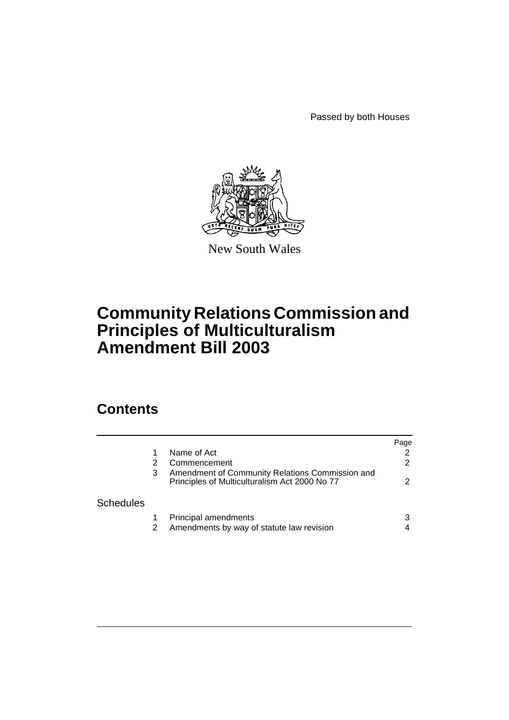Passed by both Houses



New South Wales

# **Community Relations Commission and Principles of Multiculturalism Amendment Bill 2003**

## **Contents**

|                  |   |                                                                                                  | Page |
|------------------|---|--------------------------------------------------------------------------------------------------|------|
|                  |   | Name of Act                                                                                      |      |
|                  |   | Commencement                                                                                     |      |
|                  | 3 | Amendment of Community Relations Commission and<br>Principles of Multiculturalism Act 2000 No 77 |      |
| <b>Schedules</b> |   |                                                                                                  |      |
|                  |   | <b>Principal amendments</b>                                                                      |      |
|                  |   | Amendments by way of statute law revision                                                        |      |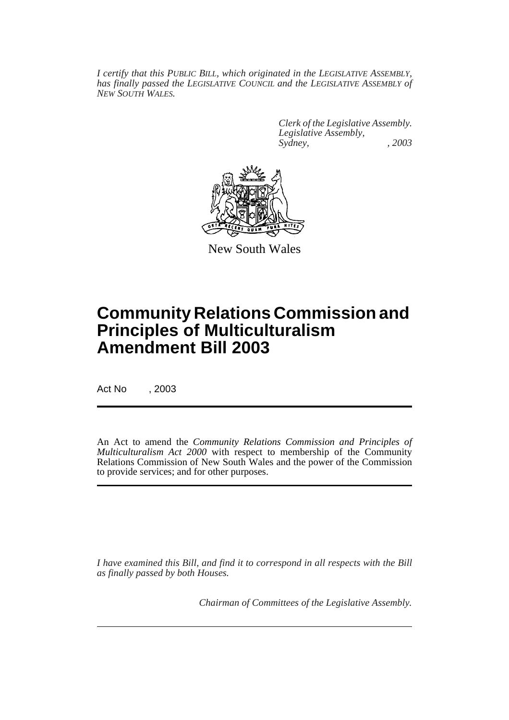*I certify that this PUBLIC BILL, which originated in the LEGISLATIVE ASSEMBLY, has finally passed the LEGISLATIVE COUNCIL and the LEGISLATIVE ASSEMBLY of NEW SOUTH WALES.*

> *Clerk of the Legislative Assembly. Legislative Assembly, Sydney, , 2003*



New South Wales

## **Community Relations Commission and Principles of Multiculturalism Amendment Bill 2003**

Act No , 2003

An Act to amend the *Community Relations Commission and Principles of Multiculturalism Act 2000* with respect to membership of the Community Relations Commission of New South Wales and the power of the Commission to provide services; and for other purposes.

*I have examined this Bill, and find it to correspond in all respects with the Bill as finally passed by both Houses.*

*Chairman of Committees of the Legislative Assembly.*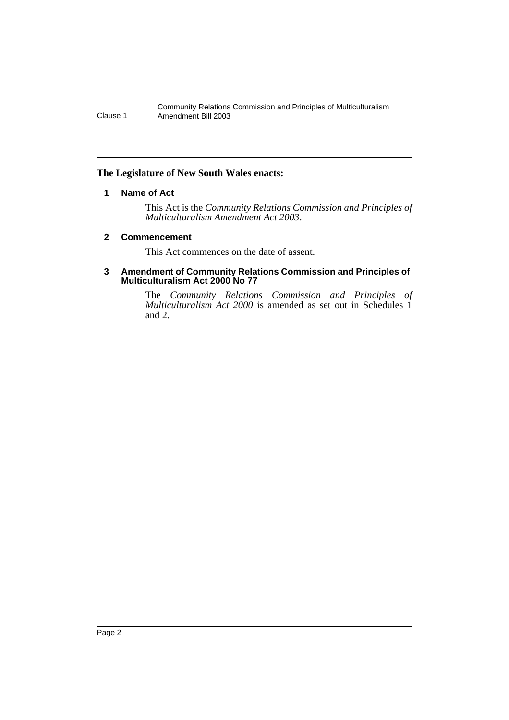Community Relations Commission and Principles of Multiculturalism Clause 1 Amendment Bill 2003

#### **The Legislature of New South Wales enacts:**

#### **1 Name of Act**

This Act is the *Community Relations Commission and Principles of Multiculturalism Amendment Act 2003*.

#### **2 Commencement**

This Act commences on the date of assent.

#### **3 Amendment of Community Relations Commission and Principles of Multiculturalism Act 2000 No 77**

The *Community Relations Commission and Principles of Multiculturalism Act 2000* is amended as set out in Schedules 1 and 2.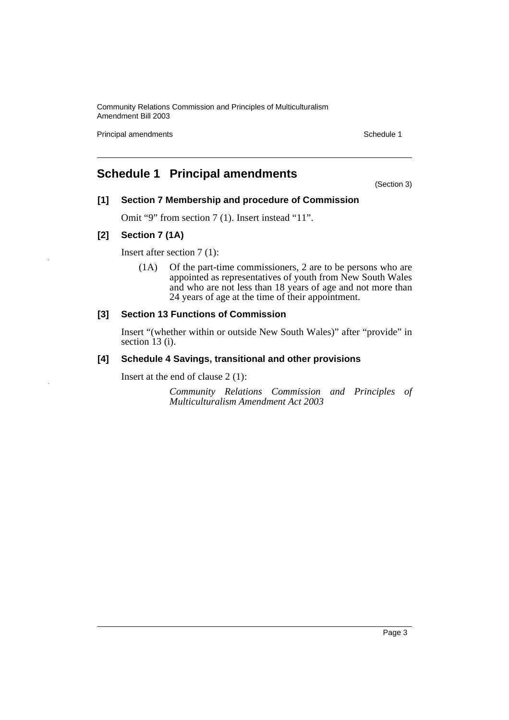Community Relations Commission and Principles of Multiculturalism Amendment Bill 2003

Principal amendments **Schedule 1** Schedule 1

### **Schedule 1 Principal amendments**

(Section 3)

#### **[1] Section 7 Membership and procedure of Commission**

Omit "9" from section 7 (1). Insert instead "11".

#### **[2] Section 7 (1A)**

Insert after section 7 (1):

(1A) Of the part-time commissioners, 2 are to be persons who are appointed as representatives of youth from New South Wales and who are not less than 18 years of age and not more than 24 years of age at the time of their appointment.

#### **[3] Section 13 Functions of Commission**

Insert "(whether within or outside New South Wales)" after "provide" in section 13 (i).

#### **[4] Schedule 4 Savings, transitional and other provisions**

Insert at the end of clause 2 (1):

*Community Relations Commission and Principles of Multiculturalism Amendment Act 2003*